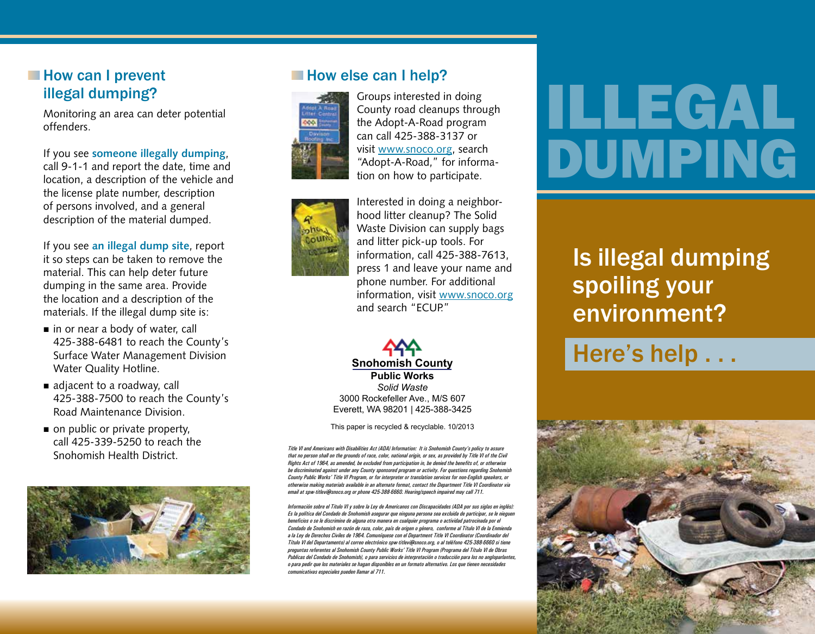#### **How can I prevent** illegal dumping?

Monitoring an area can deter potential offenders.

If you see **someone illegally dumping**, call 9-1-1 and report the date, time and location, a description of the vehicle and the license plate number, description of persons involved, and a general description of the material dumped.

If you see **an illegal dump site**, report it so steps can be taken to remove the material. This can help deter future dumping in the same area. Provide the location and a description of the materials. If the illegal dump site is:

- $\blacksquare$  in or near a body of water, call 425-388-6481 to reach the County's Surface Water Management Division Water Quality Hotline.
- $\blacksquare$  adjacent to a roadway, call 425-388-7500 to reach the County's Road Maintenance Division.
- $\blacksquare$  on public or private property, call 425-339-5250 to reach the Snohomish Health District.





Groups interested in doing County road cleanups through the Adopt-A-Road program can call 425-388-3137 or visit www.snoco.org, search "Adopt-A-Road," for information on how to participate.



Interested in doing a neighborhood litter cleanup? The Solid Waste Division can supply bags and litter pick-up tools. For information, call 425-388-7613, press 1 and leave your name and phone number. For additional information, visit www.snoco.org and search "ECUP."

*Solid Waste* 3000 Rockefeller Ave., M/S 607 Everett, WA 98201 | 425-388-3425 **Snohomish County Public Works**

This paper is recycled & recyclable. 10/2013

*Title VI and Americans with Disabilities Act (ADA) Information: It is Snohomish County's policy to assure that no person shall on the grounds of race, color, national origin, or sex, as provided by Title VI of the Civil Rights Act of 1964, as amended, be excluded from participation in, be denied the benefits of, or otherwise be discriminated against under any County sponsored program or activity. For questions regarding Snohomish County Public Works' Title VI Program, or for interpreter or translation services for non-English speakers, or otherwise making materials available in an alternate format, contact the Department Title VI Coordinator via email at spw-titlevi@snoco.org or phone 425-388-6660. Hearing/speech impaired may call 711.*

*Información sobre el Titulo VI y sobre la Ley de Americanos con Discapacidades (ADA por sus siglas en inglés): Es la política del Condado de Snohomish asegurar que ninguna persona sea excluida de participar, se le nieguen beneficios o se le discrimine de alguna otra manera en cualquier programa o actividad patrocinada por el Condado de Snohomish en razón de raza, color, país de origen o género, conforme al Título VI de la Enmienda a la Ley de Derechos Civiles de 1964. Comuníquese con el Department Title VI Coordinator (Coordinador del Título VI del Departamento) al correo electrónico spw-titlevi@snoco.org, o al teléfono 425-388-6660 si tiene preguntas referentes al Snohomish County Public Works' Title VI Program (Programa del Título VI de Obras Publicas del Condado de Snohomish), o para servicios de interpretación o traducción para los no angloparlantes, o para pedir que los materiales se hagan disponibles en un formato alternativo. Los que tienen necesidades comunicativas especiales pueden llamar al 711.*

# ILLEGAL DUMPING

### Is illegal dumping spoiling your environment?

## Here's help . . .